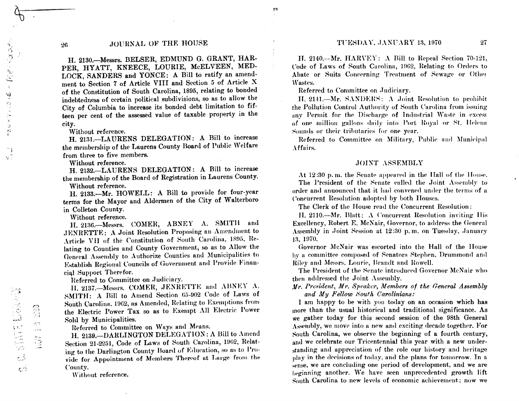#### TUESDAY, JANUARY 13, 1970

# JOURNAL OF THE HOUSE

H. 2130.-Messrs. BELSER, EDMUND G. GRANT, HAR-PER, HYATT, KNEECE, LOURIE, McELVEEN, MED-LOCK, SANDERS and YONCE: A Bill to ratify an amendment to Section 7 of Article VIII and Section 5 of Article X of the Constitution of South Carolina, 1895, relating to bonded indebtedness of certain political subdivisions, so as to allow the City of Columbia to increase its bonded debt limitation to fifteen per cent of the assessed value of taxable property in the city.

Without reference.

H. 2131.-LAURENS DELEGATION: A Bill to increase the membership of the Laurens County Board of Public Welfare from three to five members.

Without reference.

H. 2132.-LAURENS DELEGATION: A Bill to increase the membership of the Board of Registration in Laurens County.

Without reference.

H. 2133.-Mr. HOWELL: A Bill to provide for four-year terms for the Mayor and Aldermen of the City of Walterboro in Colleton County.

Without reference.

H. 2136. Messrs. COMER, ABNEY A. SMITH and JENRETTE: A Joint Resolution Proposing an Amendment to Article VII of the Constitution of South Carolina, 1895, Relating to Counties and County Government, so as to Allow the General Assembly to Authorize Counties and Municipalities to Establish Regional Councils of Government and Provide Financial Support Therefor.

Referred to Committee on Judiciary.

II. 2137. Messrs. COMER, JENRETTE and ABNEY A. SMITH: A Bill to Amend Section 65-902 Code of Laws of South Carolina. 1962, as Amended, Relating to Exemptions from the Electric Power Tax so as to Exempt All Electric Power Sold by Municipalities.

Referred to Committee on Ways and Means.

H. 2139. - DARLINGTON DELEGATION: A Bill to Amend Section 21-2251, Code of Laws of South Carolina, 1962, Relating to the Darlington County Board of Education, so as to Provide for Appointment of Members Thereof at Large from the County.

Without reference.

H. 2140.—Mr. HARVEY: A Bill to Repeal Section 70-121, Code of Laws of South Carolina, 1962, Relating to Orders to Abate or Suits Concerning Treatment of Sewage or Other Wastes.

Referred to Committee on Judiciary.

H. 2141.- $M_r$ , SANDERS: A Joint Resolution to prohibit the Pollution Control Authority of South Carolina from issuing any Permit for the Discharge of Industrial Waste in excess of one million gallons daily into Port Royal or St. Helena Sounds or their tributaries for one year.

Referred to Committee on Military, Public and Municipal Affairs.

## **JOINT ASSEMBLY**

At 12:30 p.m. the Senate appeared in the Hall of the House. The President of the Senate called the Joint Assembly to order and announced that it had convened under the terms of a Concurrent Resolution adopted by both Houses.

The Clerk of the House read the Concurrent Resolution:

H. 2110.—Mr. Blatt:  $\Lambda$  Concurrent Resolution inviting His Excellency, Robert E. McNair, Governor, to address the General Assembly in Joint Session at 12:30 p.m. on Tuesday, January 13, 1970.

Governor McNair was escorted into the Hall of the House by a committee composed of Senators Stephen, Drummond and Riley and Messrs, Lourie, Brandt and Rowell.

The President of the Senate introduced Governor McNair who then addressed the Joint Assembly.

Mr. President, Mr. Speaker, Members of the General Assembly and My Fellow South Carolinians:

I am happy to be with you today on an occasion which has more than the usual historical and traditional significance. As we gather today for this second session of the 98th General Assembly, we move into a new and exciting decade together. For South Carolina, we observe the beginning of a fourth century, and we celebrate our Tricentennial this year with a new understanding and appreciation of the role our history and heritage play in the decisions of today, and the plans for tomorrow. In a sense, we are concluding one period of development, and we are beginning another. We have seen unprecedented growth lift South Carolina to new levels of economic achievement; now we

26

C. SINT LEARN

يخرج

 $\mathbb{S}$ 

 $\sum_{i=1}^n \frac{1}{i}$ 

 $\sqrt{2\pi\beta}$ 

总

 $50.03$ 

 $\sigma$ 

 $\mathbf{t}_i$ 

 $\sqrt{3}$ 

Ó,

 $\lambda$ 

Ωğ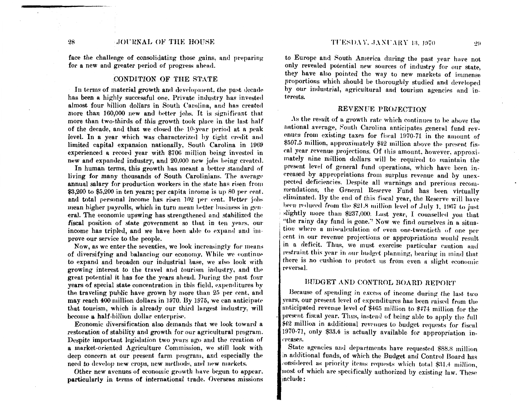face the challenge of consolidating those gains, and preparing for a new and greater period of progress ahead.

## CONDITION OF THE STATE

In terms of material growth and development, the past decade has been a highly successful one. Private industry has invested almost four billion dollars in South Carolina, and has created more than 160,000 new and better jobs. It is significant that more than two-thirds of this growth took place in the last half of the decade, and that we closed the 10-year period at a peak level. In a year which was characterized by tight credit and limited capital expansion nationally, South Carolina in 1969 experienced a record year with \$706 million being invested in new and expanded industry, and 20,000 new jobs being created.

In human terms, this growth has meant a better standard of living for many thousands of South Carolinians. The average annual salary for production workers in the state has risen from \$3,200 to \$5,200 in ten years; per capita income is up 80 per cent. and total personal income has risen 102 per cent. Better jobs mean higher payrolls, which in turn mean better business in general. The economic upswing has strengthened and stabilized the fiscal position of state government so that in ten years, our income has tripled, and we have been able to expand and improve our service to the people.

Now, as we enter the seventies, we look increasingly for means of diversifying and balancing our economy. While we continue to expand and broaden our industrial base, we also look with growing interest to the travel and tourism industry, and the great potential it has for the years ahead. During the past four years of special state concentration in this field, expenditures by the traveling public have grown by more than 25 per cent, and may reach 400 million dollars in 1970. By 1975, we can anticipate that tourism, which is already our third largest industry, will become a half-billion dollar enterprise.

Economic diversification also demands that we look toward a restoration of stability and growth for our agricultural program. Despite important legislation two years ago and the creation of a market-oriented Agriculture Commission, we still look with deep concern at our present farm program, and especially the need to develop new crops, new methods, and new markets.

Other new avenues of economic growth have begun to appear. particularly in terms of international trade. Overseas missions to Europe and South America during the past year have not only revealed potential new sources of industry for our state, they have also pointed the way to new markets of immense proportions which should be thoroughly studied and developed by our industrial, agricultural and tourism agencies and interests.

## REVENUE PROJECTION

As the result of a growth rate which continues to be above the national average, South Carolina anticipates general fund revenues from existing taxes for fiscal 1970-71 in the amount of \$507.5 million, approximately \$42 million above the present fiscal year revenue projections. Of this amount, however, approximately nine million dollars will be required to maintain the present level of general fund operations, which have been increased by appropriations from surplus revenue and by unexpected deficiencies. Despite all warnings and previous recommendations, the General Reserve Fund has been virtually eliminated. By the end of this fiscal year, the Reserve will have been reduced from the \$21.8 million level of July 1, 1967 to just slightly more than \$237,000. Last year, I counselled you that "the rainy day fund is gone." Now we find ourselves in a situation where a miscalculation of even one-twentieth of one per cent in our revenue projections or appropriations would result in a deficit. Thus, we must exercise particular caution and restraint this year in our budget planning, bearing in mind that there is no cushion to protect us from even a slight economic reversal.

# BUDGET AND CONTROL BOARD REPORT

Because of spending in excess of income during the last two vears, our present level of expenditures has been raised from the anticipated revenue level of \$465 million to \$474 million for the present fiscal year. Thus, instead of being able to apply the full \$42 million in additional revenues to budget requests for fiscal 1970-71, only \$33.4 is actually available for appropriation inreases.

State agencies and departments have requested \$88.8 million in additional funds, of which the Budget and Control Board has considered as priority items requests which total \$31.4 million, most of which are specifically authorized by existing law. These  $\mathop{\rm include}\nolimits$  :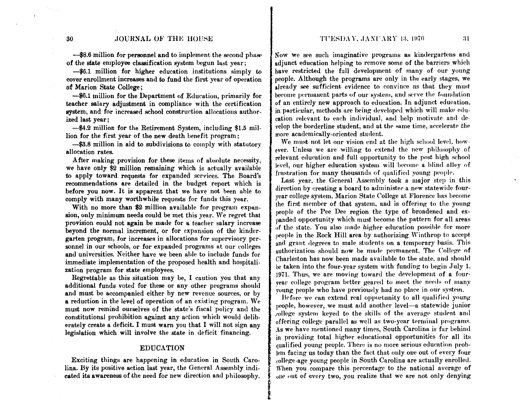TUESDAY, JANUARY 13, 1970 **31** 

## 30 **JOURNAL OF THE HOUSE**

-\$8.6 million for personnel and to implement the second phase of the state employee classification system begun last year;

-\$6.1 million for higher education institutions simply to cover enrollment increases and to fund the first year of operation of Marion State College ;

-\$6.1 million for the Department of Education, primarily for teacher salary adjustment in compliance with the certification system, and for increased school construction allocations authorized last year;

-\$4.2 million for the Retirement System, including \$1.5 million for the first year of the new death benefit program;

-\$3.8 million in aid to subdivisions to comply with statutory allocation rates.

After making provision for these items of absolute necessity, we have only \$2 million remaining which is actually available to apply toward requests for expanded services. The Board's recommendations are detailed in the budget report which is before you now. It is apparent that we have not been able to comply with many worthwhile requests for funds this year.

With no more than \$2 million available for program expansion, only minimum needs could be met this year. We regret that provision could not again be made for a teacher salary increase beyond the normal increment, or for expansion of the kindergarten program, for increases in allocations for supervisory personnel in our schools, or for expanded programs at our colleges and universities. Neither have we been able to include funds for immediate implementation of the proposed health and hospitalization program for state employees.

Regrettable as this situation may be, I caution you that any additional funds voted for these or any other programs should and must be accompanied either by new revenue sources, or by a reduction in the level of operation of an existing program. We must now remind ourselves of the state's fiscal policy and the constitutional prohibition against any action which would deliberately create a deficit. I must warn you that I will not sign any legislation which will involve the state in deficit financing.

#### EDUCATION

Exciting things are happening in education in South Carolina. By its positive action last year, the General Assembly indicated its awareness of the need for new direction and philosophy.

Now we see such imaginative programs as kindergartens and adjunct education helping to remove some of the barriers which have restricted the full development of many of our young people. Although the programs are only in the early stages, we already see sufficient evidence to convince us that they must become permanent parts of our system, and serve the foundation of an entirely new approach to education. In adjunct education. in particular, methods are being developed which will make education relevant to each individual, and help motivate and develop the borderline student, and at the same time, accelerate the more academically-oriented student.

We must not let our vision end at the high school level, however. Unless we are willing to extend the new philosophy of relevant education and full opportunity to the post high school level, our higher education system will become a blind alley of frustration for many thousands of qualified young people.

Last year, the General Assembly took a major step in this direction by creating a board to administer a new statewide fouryear college system. Marion State College at Florence has become the first member of that system, and is offering to the young people of the Pee Dee region the type of broadened and expanded opportunity which must become the pattern for all areas of the state. You also made higher education possible for more people in the Rock Hill area by authorizing Winthrop to accept and grant degrees to male students on a temporary basis. This authorization should now be made permanent. The College of Charleston has now been made available to the state, and should be taken into the four-year system with funding to begin July 1. 1971. Thus, we are moving toward the dewlopment of a fouryear college program better geared to meet the needs of many young people who have previously had no place in our system.

Before we can extend real opportunity to all qualified young people, however, we must add another level-a statewide junior college system keyed to the skills of the average student and offering college parallel as well as two-year terminal programs. As we have mentioned many times, South Carolina is far behind in providing total higher educational opportunities for all its qualified young people. There is no more serious education problem facing us today than the fact that only one out of every four college-age young people in South Carolina are actually enrolled. When you compare this percentage to the national average of The eventually environmental and the security environment.<br>When you compare this percentage to the national average of<br>the out of every two, you realize that we are not only denying

 $\frac{1}{2}$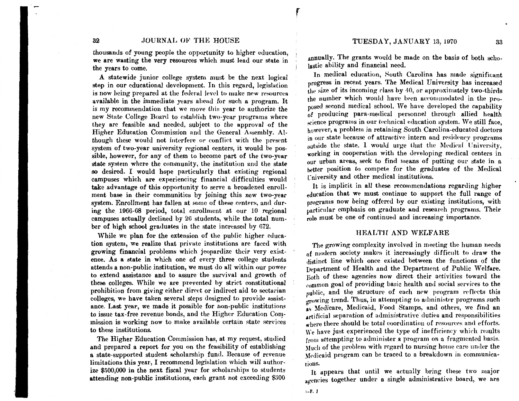thousands of young people the opportunity to higher education, we are wasting the very resources which must lead our state in the years to come.

A statewide junior college system must be the next logical step in our educational development. In this regard, legislation is now being prepared at the federal level to make new resources available in the immediate years ahead for such a program. It is my recommendation that we move this year to authorize the new State College Board to establish two-year programs where they arc feasible and needed, subject to the approval of the Higher Education Commission and the General Assembly. Although these would not interfere or conflict with the present system of two-year university regional centers, it would be possible, however, for any of them to become part of the two-year state system where the community, the institution and the state so desired. I would hope particularly that existing regional campuses which are experiencing financial difficulties would take advantage of this opportunity to serve a broadened enrollment base in their communities by joining this new two-year system. Enrollment has fallen at some of these centers, and during the. 1966-68 period, total enrollment at our 10 regional campuses actually declined by 26 students, while the total number of high school graduates in the state increased by 672.

While we plan for the extension of the public higher education system, we realize that private institutions are faced with growing financial problems which jeopardize their very existence. As a state in which one of every three college students attends a non-public institution, we must do all within our power to extend assistance aml to assure the survival and growth of these colleges. While we are prevented by strict constitutional prohibition from giving either direct or indirect aid to sectarian colleges, we have taken several steps designed to provide assistance. Last year, we made it possible for non-public institutiom: to issue tax-free revenue bonds, and the Higher Education Commission is working now to make available certain state services to these institutions.

The Higher Education Commission has, at my request, studied and prepared a report for you on the feasibility of establishing a state-supported student scholarship fund. Because of revenue limitations this year, I recommend legislation which will authorize \$500,000 in the next fiscal year for scholarships to students attending non-public institutions, each grant not exceeding \$300

annually. The grants would be made on the basis of both scholastic ability and financial need.

In medical education, South Carolina has made significant progress in recent years. The Medical University has increased the size of its incoming class by  $40$ , or approximately two-thirds the number which would have been accommodated in the proposed second medical school. We have developed the capability of producing para-medical personnel through allied health science programs in our technical education system. We still face, however, a problem in retaining South Carolina-educated doctors in our state because of attractive intern and residency programs outside the state. I would urge that the Medical University, working in cooperation with the developing medical centers in our urban areas, seek to find means of putting our state in a better position to compete for the graduates of the Medical **Thiversity and other medical institutions.** 

It is implicit in all these recommendations regarding higher education that we must continue to support the full range of programs now being offered by our existing institutions, with particular emphasis on graduate and research programs. Their role must be one of continued and increasing importance.

## HEALTH AND WELFARE

The growing complexity involved in meeting the human needs of modern society makes it increasingly difficult to draw the distinct line which once existed between the functions of the Department of Health and the Department of Public Welfare. Both of these agencies now direct their activities toward the ,·ommon goal of providing basic health ana social services to the public, and the structure of each new program reflects this growing trend. Thus, in attempting to administer programs such as Medicare, Medicaid, Food Stamps, and others, we find an artificial separation of administrative duties and responsibilities where there should be total coordination of resources and efforts. We have just experienced the type of inefficiency which results from attempting to administer a program on a fragmented hasis. Much of the problem with regard to nursing home care under the Medicaid program can be traced to a breakdown in communications.

 It appears that until we actually bring these two major agencies together under a single administrative board, we are

r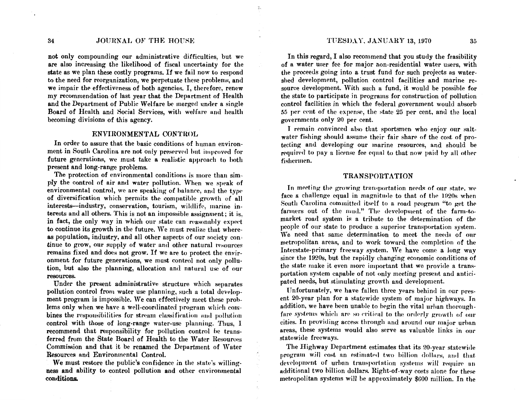34

## JOURNAL OF THE HOUSE

٠.

not only compounding our administrative difficulties, but we are also increasing the likelihood of fiscal uncertainty for the state as we plan these costly programs. If we fail now to respond to the need for reorganization, we perpetuate these problems, and we impair the effectiveness of both agencies. I, therefore, renew my recommendation of last year that the Department of Health and the Department of Public Welfare be merged under a single Board of Health and Social Services, with welfare and health becoming divisions of this agency.

## ENVIRONMENTAL CONTROL

In order to assure that the basic conditions of human environment in South Carolina are not only preserved but improved for future generations, we must take a realistic approach to both present and long-range problems.

The protection of environmental conditions is more than simply the control of air and water pollution. When we speak of environmental control, we are speaking of balance, and the type of diversification which permits the compatible growth of all interests-industry, conservation, tourism, wildlife, marine interests and all others. This is not an impossible assignment; it is. in fact, the only way in which our state can reasonably expect to continue its growth in the future. We must realize that whereas population, industry, and all other aspects of our society continue to grow, our supply of water and other natural resources remains fixed and does not grow. If we are to protect the environment for future generations, we must control not only pollution, but also the planning, allocation and natural use of our resources.

Under the present administrative structure which separates pollution control from water use planning, such a total development program is impossible. We can effectively meet these problems only when we have a well-coordinated program which combines the responsibilities for stream classification and pollution control with those of long-range water-use planning. Thus, I recommend that responsibility for pollution control be transferred from the State Board of Health to the Water Resources Commission and that it be renamed the Department of Water Resources and Environmental Control.

We must restore the public's confidence in the state's willingness and ability to control pollution and other environmental conditions.

#### TUESDAY, JANUARY 13, 1970

In this regard, I also recommend that you study the feasibility of a water user fee for major non-residential water users, with the proceeds going into a trust fund for such projects as watershed development, pollution control facilities and marine resource development. With such a fund, it would be possible for the state to participate in programs for construction of pollution control facilities in which the federal government would absorb 55 per cent of the expense, the state 25 per cent, and the local governments only 20 per cent.

I remain convinced also that sportsmen who enjoy our saltwater fishing should assume their fair share of the cost of protecting and developing our marine resources, and should be required to pay a license fee equal to that now paid by all other fishermen.

## **TRANSPORTATION**

In meeting the growing transportation needs of our state, we face a challenge equal in magnitude to that of the 1920s when South Carolina committed itself to a road program "to get the farmers out of the mud." The development of the farm-tomarket road system is a tribute to the determination of the people of our state to produce a superior transportation system. We need that same determination to meet the needs of our metropolitan areas, and to work toward the completion of the Interstate-primary freeway system. We have come a long way since the 1920s, but the rapidly changing economic conditions of the state make it even more important that we provide a transportation system capable of not only meeting present and anticipated needs, but stimulating growth and development.

Unfortunately, we have fallen three years behind in our present 20-year plan for a statewide system of major highways. In addition, we have been unable to begin the vital urban thoroughfare systems which are so critical to the orderly growth of our cities. In providing access through and around our major urban areas, these systems would also serve as valuable links in our statewide freeways.

The Highway Department estimates that its 20-year statewide program will cost an estimated two billion dollars, and that development of urban transportation systems will require an additional two billion dollars. Right-of-way costs alone for these metropolitan systems will be approximately \$600 million. In the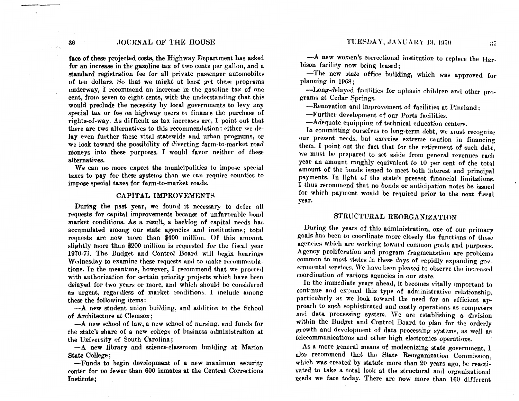36 **JOURNAL OF THE HOUSE** 

face of these projected costs, the Highway Department has asked for an increase in the gasoline tax of two cents per gallon, and a standard registration fee for all private passenger automobiles of ten dollars. So that we might at lenst get these programs underway, I recommend an increase in the gasoline tax of one cent, from seven to eight cents, with the understanding that this would preclude the necessity by local governments to levy any special tax or fee on highway users to finance the purchase of rights-of-way. As difficult as tax increases are, I point out that there are two alternatives to this recommendation: either we delay even further these vital statewide and urban programs, or we look toward the possibility of diverting farm-to-market road moneys into these purposes. I would favor neither of these alternatives.

We can no more expect the municipalities to impose special taxes to pay for these systems than we can require eounties to impose special taxes for farm-to-market roads.

## CAPITAL IMPROVEMENTS

During the past year, we found it necessary to defer all requests for capital improvements because of unfavorahle bond market conditions. As a result, a backlog of capital needs has accumulated among our state agencies and institutions; total requests are now more than \$400 million. Of this amount, slightly more than \$200 million is requested for the fiscal year 1970-71. The Budget and Control Board will begin hearings Wednesday to examine these requests and to make recommendations. In the meantime, however, I recommend that we proceed with authorization for certain priority projects which have been delayed for two years or more, and which should be considered as urgent, regardless of market conditions. I include among these the following items:

-A new student union building, and addition to the School of Architecture at Clemson;

-A new school of law, a new school of nursing, and funds for the state's share of a new college of business administration at the University of South Carolina;

-- A new library and science-classroom building at Marion State College;

-Funds to begin development of a new maximum security center for no fewer than 600 inmates at the Central Corrections Institute;

-A new women's correctional institution to replace the Har· bison facility now being leased;

-The new state office building, which was approved for planning in  $1968$ ;

-Long-delayed facilities for aphasic children and other programs at Cedar Springs.

-Renovation and improvement of facilities at Pineland;

-Further development of our Ports facilities.

-Adequate equipping of technical education centers.

In committing ourselves to long-term debt, we must recognize our present needs, but exercise extreme caution in financing them. I point out the fact that for the retirement of such debt, we must be prepared to set aside from general revenues each year an amount roughly equivalent to 10 per cent of the total amount of the bonds issued to meet both interest and principal payments. In light of the state's present financial limitations. I thus recommend that no bonds or anticipation notes be issued for which payment would be required prior to the next fiscal year.

#### STRUCTURAL REORGANIZATION

During the years of this administration, one of our primary goals has been to coordinate more closely the functions of those agencies which are working toward common goals and purposes. Agency proliferation and program fragmentation are problems common to most states in these days of rapidly expanding governmental services. We have been pleased to observe the increased coordination of various agencies in our state.

In the immediate years ahead, it becomes vitally important to continue and expand this type of administrative relationship, particularly as we look toward the need for an efficient approach to such sophisticated and costly operations as computers and data processing system. We are establishing a division within the Budget and Control Board to plan for the orderly growth and development of data processing systems, as well as telecommunications and other high electronics operations.

As a more general means of modernizing state government, I also recommend that the State Reorganization Commission, which was created by statute more than 20 years ago, be reactivated to take a total look at the structural and organizational needs we face today. There are now more than 160 different

is sal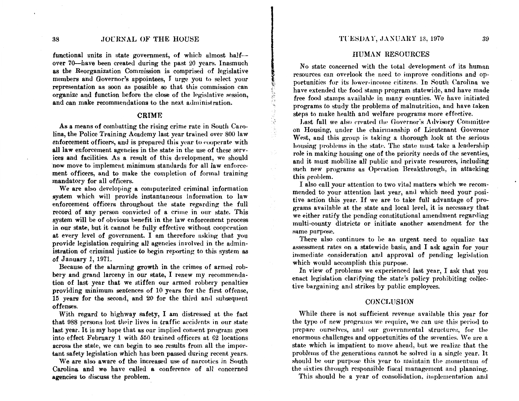#### 38 .JOURNAL OF THE HOUSE

functional units in state government, of which almost halfover 70-have been created during the past 20 years. Inasmuch as the Reorganization Commission is comprised of legislative members and Governor's appointees, I urge you to select your representation as soon as possible so that this commission can organize and function before the close of the legislative session, and can make recommendations to the next administration.

## CRIME

As a means of combatting the rising crime rate in South Carolina, the Police Training Academy last year trained over 800 law enforcement officers, and is prepared this year to cooperate with all law enforcement agencies in the state in the use of these services and facilities. As a result of this development, we should now move to implement minimum standards for all law enforcement officers, and to make the completion of formal training mandatory for all officers.

We are also developing a computerized criminal information system which will provide instantaneous information to law enforcement officers throughout the state regarding the full record of any person convicted of a crime in our state. This system will be of obvious benefit in the law enforcement process in our state, but it cannot he fully effective without cooperation at every level of government. I am therefore asking that you provide legislation requiring all agencies involved in the administration of criminal justice to begin reporting to this system as of January 1, 1971.

Because of the alarming growth in the crimes of armed robbery and grand larceny in our state, I renew my recommendation of last year that we stiffen our armed robbery penalties providing minimum sentences of 10 years for the first offense, 15 years for the second, and 20 for the third and subsequent offenses.

With regard to highway safety, I am distressed at the fact that 988 persons lost their lives in traffic accidents in our state last year. It is my hope that as our implied consent program goes into effect February 1 with 550 trained officers at 62 locations across the state, we can begin to see results from all the important safety legislation which has been passed during recent years.

We are also aware of the increased use of narcotics in South Carolina and we have called a conference of all concerned agencies to discuss the problem.

## TUESDAY, JANUARY 13, 1970 39

## HUMAN RESOURCES

No state concerned with the total development of its human resources can overlook the need to improve conditions and opportunities for its lower-income citizens. In South Carolina we have extended the food stamp program statewide, and have made free food stamps available in many counties. We have initiated programs to study the problems of malnutrition, and have taken steps to make health and welfare programs more effective.

;.:;• "

÷Ъ.

Last fall we also created the Governor's Advisory Committee on Housing, under the chairmanship of Lieutenant Governor West, and this group is taking a thorough look at the serious housing problems in the state. The state must take a leadership role in making housing one of the priority needs of the seventies, and it must mobilize all public and private resources, including such new programs as Operation Breakthrough, in attacking this problem.

I also call your attention to two vital matters which we recommended to your attention last year, and which need your positive action this year. If we are to take full advantage of programs available at the state and local level, it is necessary that we either ratify the pending constitutional amendment regarding multi-county districts or initiate another amendment for the same purpose.

There also continues to be an urgent need to equalize tax assessment rates on a statewide basis, and I ask again for your immediate consideration and approval of pending legislation which would accomplish this purpose.

In view of problems we experienced last year, I ask that you enact legislation clarifying the state's policy prohibiting collective bargaining and strikes by public employees.

## **CONCLUSION**

While there is not sufficient revenue available this year for the type of new programs we require, we can use this period to prepare ourselves, and our governmental structures, for the enormous challenges and opportunities of the seventies. We are a state which is impatient to move ahead, but we realize that the problems of the generations cannot be solved in a single year. It should be our purpose this year to maintain the momentum of the sixties through responsible fiscal management and planning.

This should be a year of consolidation, implementation and